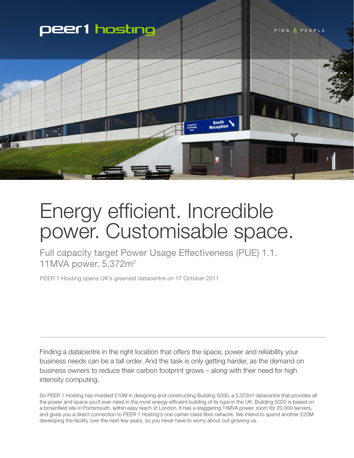

# Energy efficient. Incredible power. Customisable space.

Full capacity target Power Usage Effectiveness (PUE) 1.1. 11MVA power. 5,372m2

PEER 1 Hosting opens UK's greenest datacentre on 17 October 2011

Finding a datacentre in the right location that offers the space, power and reliability your business needs can be a tall order. And the task is only getting harder, as the demand on business owners to reduce their carbon footprint grows – along with their need for high intensity computing.

So PEER 1 Hosting has invested £10M in designing and constructing Building 5000, a 5,372m<sup>2</sup> datacentre that provides all the power and space you'll ever need in the most energy-efficient building of its type in the UK. Building 5000 is based on a brownfield site in Portsmouth, within easy reach of London. It has a staggering 11MVA power, room for 20,000 servers, and gives you a direct connection to PEER 1 Hosting's one carrier-class fibre network. We intend to spend another £20M developing the facility over the next few years, so you never have to worry about out-growing us.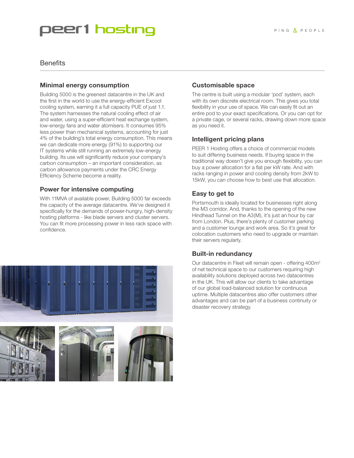# peer1 hosting

### **Benefits**

#### **Minimal energy consumption**

Building 5000 is the greenest datacentre in the UK and the first in the world to use the energy-efficient Excool cooling system, earning it a full capacity PUE of just 1.1. The system harnesses the natural cooling effect of air and water, using a super-efficient heat exchange system, low-energy fans and water atomisers. It consumes 95% less power than mechanical systems, accounting for just 4% of the building's total energy consumption. This means we can dedicate more energy (91%) to supporting our IT systems while still running an extremely low-energy building. Its use will significantly reduce your company's carbon consumption – an important consideration, as carbon allowance payments under the CRC Energy Efficiency Scheme become a reality.

#### **Power for intensive computing**

With 11MVA of available power, Building 5000 far exceeds the capacity of the average datacentre. We've designed it specifically for the demands of power-hungry, high-density hosting platforms - like blade servers and cluster servers. You can fit more processing power in less rack space with confidence.

# **Customisable space**

The centre is built using a modular 'pod' system, each with its own discrete electrical room. This gives you total flexibility in your use of space. We can easily fit out an entire pod to your exact specifications. Or you can opt for a private cage, or several racks, drawing down more space as you need it.

# **Intelligent pricing plans**

PEER 1 Hosting offers a choice of commercial models to suit differing business needs. If buying space in the traditional way doesn't give you enough flexibility, you can buy a power allocation for a flat per kW rate. And with racks ranging in power and cooling density from 2kW to 15kW, you can choose how to best use that allocation.

# **Easy to get to**

Portsmouth is ideally located for businesses right along the M3 corridor. And, thanks to the opening of the new Hindhead Tunnel on the A3(M), it's just an hour by car from London. Plus, there's plenty of customer parking and a customer lounge and work area. So it's great for colocation customers who need to upgrade or maintain their servers regularly.

### **Built-in redundancy**

Our datacentre in Fleet will remain open - offering 400m<sup>2</sup> of net technical space to our customers requiring high availability solutions deployed across two datacentres in the UK. This will allow our clients to take advantage of our global load-balanced solution for continuous uptime. Multiple datacentres also offer customers other advantages and can be part of a business continuity or disaster recovery strategy.

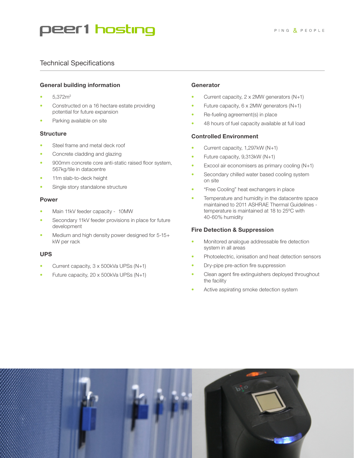

# Technical Specifications

#### **General building information**

- 5,372m2
- Constructed on a 16 hectare estate providing potential for future expansion
- Parking available on site

#### **Structure**

- Steel frame and metal deck roof
- Concrete cladding and glazing
- 900mm concrete core anti-static raised floor system, 567kg/tile in datacentre
- 11m slab-to-deck height
- Single story standalone structure

#### **Power**

- Main 11kV feeder capacity 10MW
- Secondary 11kV feeder provisions in place for future development
- Medium and high density power designed for 5-15+ kW per rack

#### **UPS**

- Current capacity, 3 x 500kVa UPSs (N+1)
- Future capacity, 20 x 500kVa UPSs (N+1)

#### **Generator**

- Current capacity,  $2 \times 2$ MW generators (N+1)
- Future capacity,  $6 \times 2$ MW generators  $(N+1)$
- Re-fueling agreement(s) in place
- 48 hours of fuel capacity available at full load

#### **Controlled Environment**

- Current capacity, 1,297kW (N+1)
- Future capacity, 9,313kW (N+1)
- Excool air economisers as primary cooling  $(N+1)$
- Secondary chilled water based cooling system on site
- "Free Cooling" heat exchangers in place
- Temperature and humidity in the datacentre space maintained to 2011 ASHRAE Thermal Guidelines temperature is maintained at 18 to 25ºC with 40-60% humidity

#### **Fire Detection & Suppression**

- Monitored analogue addressable fire detection system in all areas
- Photoelectric, ionisation and heat detection sensors
- Dry-pipe pre-action fire suppression
- Clean agent fire extinguishers deployed throughout the facility
- Active aspirating smoke detection system

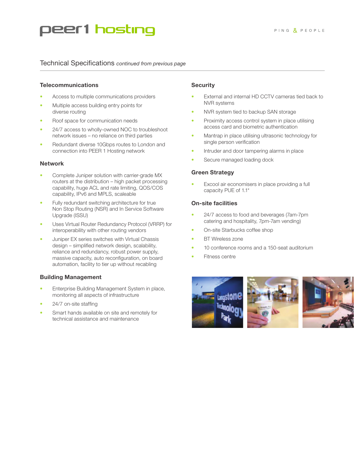# peer1 hosting

### Technical Specifications *continued from previous page*

#### **Telecommunications**

- Access to multiple communications providers
- Multiple access building entry points for diverse routing
- Roof space for communication needs
- 24/7 access to wholly-owned NOC to troubleshoot network issues – no reliance on third parties
- Redundant diverse 10Gbps routes to London and connection into PEER 1 Hosting network

#### **Network**

- Complete Juniper solution with carrier-grade MX routers at the distribution – high packet processing capability, huge ACL and rate limiting, QOS/COS capability, IPv6 and MPLS, scaleable
- Fully redundant switching architecture for true Non Stop Routing (NSR) and In Service Software Upgrade (ISSU)
- Uses Virtual Router Redundancy Protocol (VRRP) for interoperability with other routing vendors
- Juniper EX series switches with Virtual Chassis design – simplified network design, scalability, reliance and redundancy, robust power supply, massive capacity, auto reconfiguration, on board automation, facility to tier up without recabling

#### **Building Management**

- Enterprise Building Management System in place, monitoring all aspects of infrastructure
- 24/7 on-site staffing
- Smart hands available on site and remotely for technical assistance and maintenance

#### **Security**

- External and internal HD CCTV cameras tied back to NVR systems
- NVR system tied to backup SAN storage
- Proximity access control system in place utilising access card and biometric authentication
- Mantrap in place utilising ultrasonic technology for single person verification
- Intruder and door tampering alarms in place
- Secure managed loading dock

#### **Green Strategy**

Excool air economisers in place providing a full capacity PUE of 1.1\*

#### **On-site facilities**

- 24/7 access to food and beverages (7am-7pm catering and hospitality, 7pm-7am vending)
- On-site Starbucks coffee shop
- BT Wireless zone
- 10 conference rooms and a 150-seat auditorium
- Fitness centre